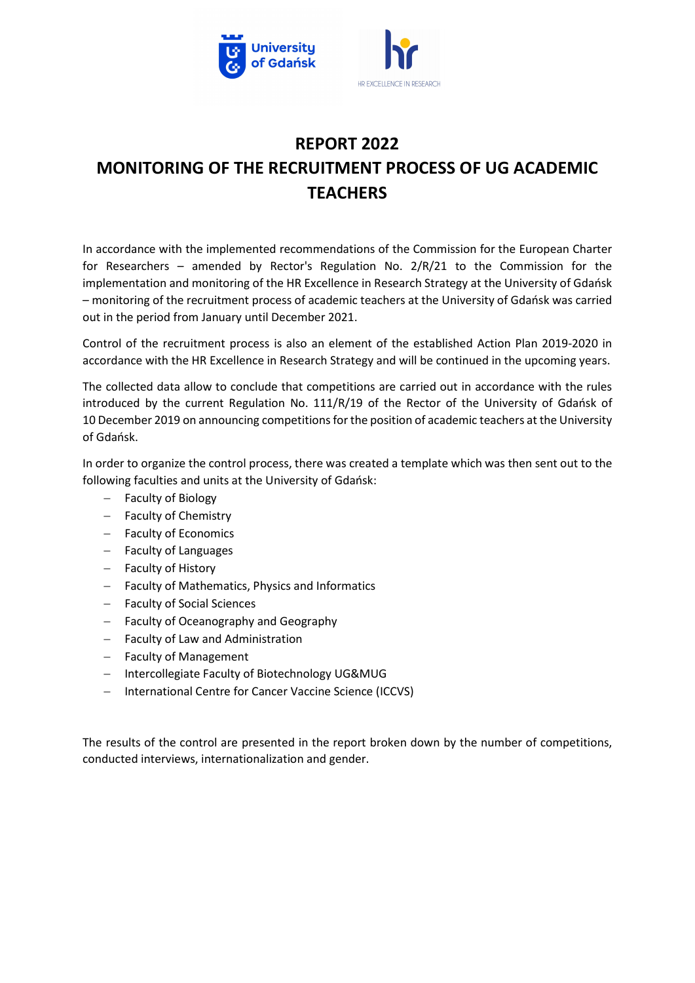

## REPORT 2022 MONITORING OF THE RECRUITMENT PROCESS OF UG ACADEMIC **TFACHERS**

In accordance with the implemented recommendations of the Commission for the European Charter for Researchers – amended by Rector's Regulation No. 2/R/21 to the Commission for the implementation and monitoring of the HR Excellence in Research Strategy at the University of Gdańsk – monitoring of the recruitment process of academic teachers at the University of Gdańsk was carried out in the period from January until December 2021.

Control of the recruitment process is also an element of the established Action Plan 2019-2020 in accordance with the HR Excellence in Research Strategy and will be continued in the upcoming years.

The collected data allow to conclude that competitions are carried out in accordance with the rules introduced by the current Regulation No. 111/R/19 of the Rector of the University of Gdańsk of 10 December 2019 on announcing competitions for the position of academic teachers at the University of Gdańsk.

In order to organize the control process, there was created a template which was then sent out to the following faculties and units at the University of Gdańsk:

- Faculty of Biology
- Faculty of Chemistry
- Faculty of Economics
- Faculty of Languages
- Faculty of History
- Faculty of Mathematics, Physics and Informatics
- Faculty of Social Sciences
- Faculty of Oceanography and Geography
- Faculty of Law and Administration
- Faculty of Management
- Intercollegiate Faculty of Biotechnology UG&MUG
- International Centre for Cancer Vaccine Science (ICCVS)

The results of the control are presented in the report broken down by the number of competitions, conducted interviews, internationalization and gender.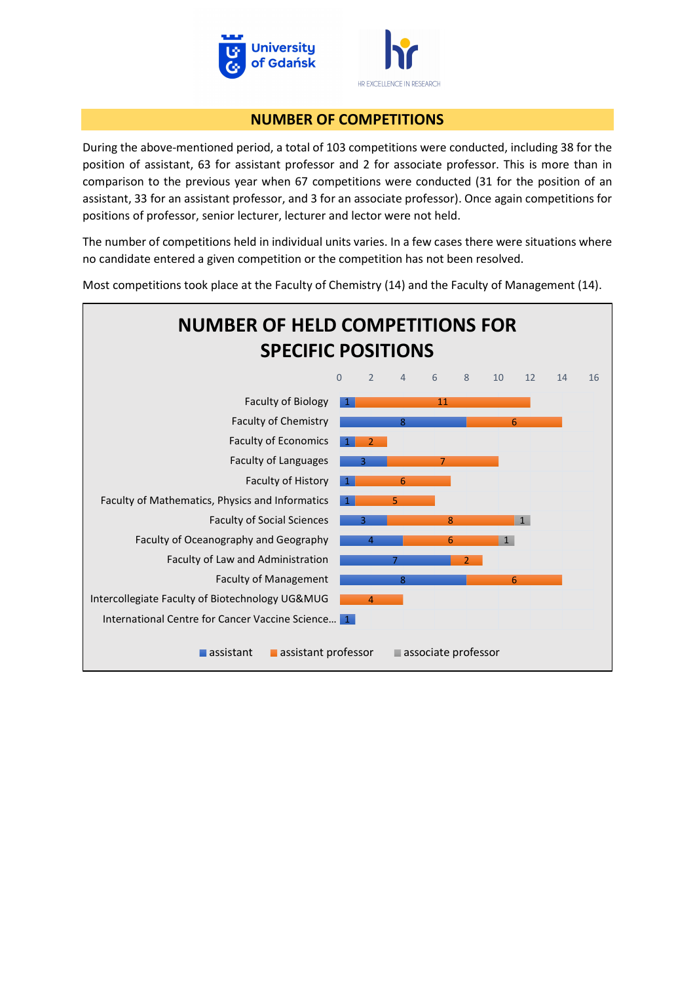

#### NUMBER OF COMPETITIONS

During the above-mentioned period, a total of 103 competitions were conducted, including 38 for the position of assistant, 63 for assistant professor and 2 for associate professor. This is more than in comparison to the previous year when 67 competitions were conducted (31 for the position of an assistant, 33 for an assistant professor, and 3 for an associate professor). Once again competitions for positions of professor, senior lecturer, lecturer and lector were not held.

The number of competitions held in individual units varies. In a few cases there were situations where no candidate entered a given competition or the competition has not been resolved.

Most competitions took place at the Faculty of Chemistry (14) and the Faculty of Management (14).

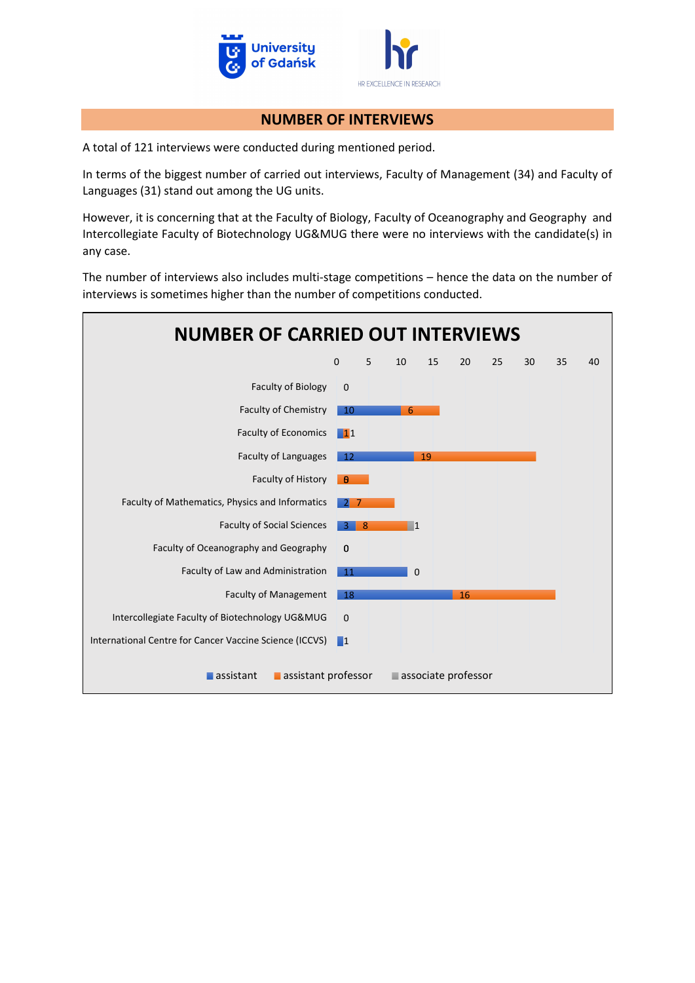

#### NUMBER OF INTERVIEWS

A total of 121 interviews were conducted during mentioned period.

In terms of the biggest number of carried out interviews, Faculty of Management (34) and Faculty of Languages (31) stand out among the UG units.

However, it is concerning that at the Faculty of Biology, Faculty of Oceanography and Geography and Intercollegiate Faculty of Biotechnology UG&MUG there were no interviews with the candidate(s) in any case.

The number of interviews also includes multi-stage competitions – hence the data on the number of interviews is sometimes higher than the number of competitions conducted.

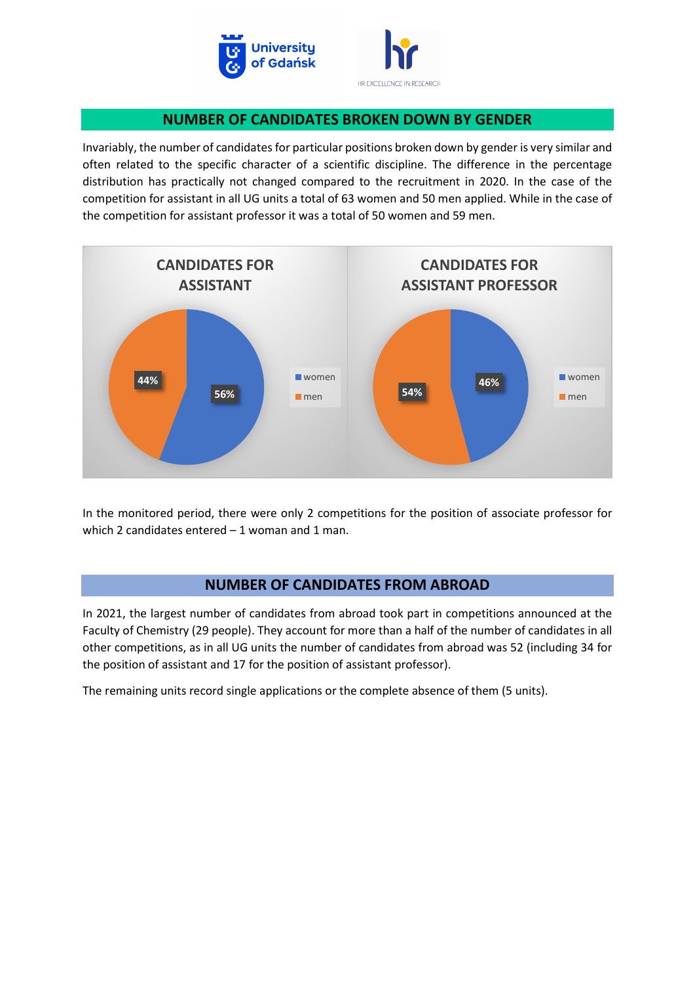

# HR EXCELLENCE IN RESEARCH

### NUMBER OF CANDIDATES BROKEN DOWN BY GENDER

Invariably, the number of candidates for particular positions broken down by gender is very similar and often related to the specific character of a scientific discipline. The difference in the percentage distribution has practically not changed compared to the recruitment in 2020. In the case of the competition for assistant in all UG units a total of 63 women and 50 men applied. While in the case of the competition for assistant professor it was a total of 50 women and 59 men.



In the monitored period, there were only 2 competitions for the position of associate professor for which 2 candidates entered – 1 woman and 1 man.

## NUMBER OF CANDIDATES FROM ABROAD

In 2021, the largest number of candidates from abroad took part in competitions announced at the Faculty of Chemistry (29 people). They account for more than a half of the number of candidates in all other competitions, as in all UG units the number of candidates from abroad was 52 (including 34 for the position of assistant and 17 for the position of assistant professor).

The remaining units record single applications or the complete absence of them (5 units).